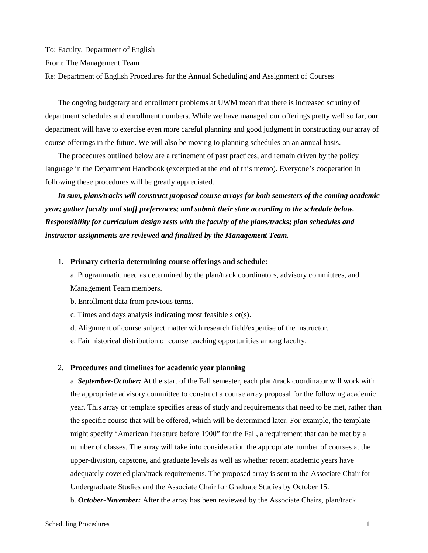To: Faculty, Department of English From: The Management Team Re: Department of English Procedures for the Annual Scheduling and Assignment of Courses

The ongoing budgetary and enrollment problems at UWM mean that there is increased scrutiny of department schedules and enrollment numbers. While we have managed our offerings pretty well so far, our department will have to exercise even more careful planning and good judgment in constructing our array of course offerings in the future. We will also be moving to planning schedules on an annual basis.

The procedures outlined below are a refinement of past practices, and remain driven by the policy language in the Department Handbook (excerpted at the end of this memo). Everyone's cooperation in following these procedures will be greatly appreciated.

*In sum, plans/tracks will construct proposed course arrays for both semesters of the coming academic year; gather faculty and staff preferences; and submit their slate according to the schedule below. Responsibility for curriculum design rests with the faculty of the plans/tracks; plan schedules and instructor assignments are reviewed and finalized by the Management Team.*

#### 1. **Primary criteria determining course offerings and schedule:**

a. Programmatic need as determined by the plan/track coordinators, advisory committees, and Management Team members.

- b. Enrollment data from previous terms.
- c. Times and days analysis indicating most feasible slot(s).
- d. Alignment of course subject matter with research field/expertise of the instructor.
- e. Fair historical distribution of course teaching opportunities among faculty.

#### 2. **Procedures and timelines for academic year planning**

a. *September-October:* At the start of the Fall semester, each plan/track coordinator will work with the appropriate advisory committee to construct a course array proposal for the following academic year. This array or template specifies areas of study and requirements that need to be met, rather than the specific course that will be offered, which will be determined later. For example, the template might specify "American literature before 1900" for the Fall, a requirement that can be met by a number of classes. The array will take into consideration the appropriate number of courses at the upper-division, capstone, and graduate levels as well as whether recent academic years have adequately covered plan/track requirements. The proposed array is sent to the Associate Chair for Undergraduate Studies and the Associate Chair for Graduate Studies by October 15. b. *October-November:* After the array has been reviewed by the Associate Chairs, plan/track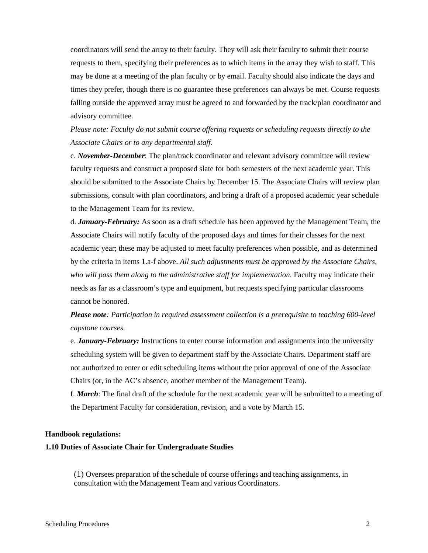coordinators will send the array to their faculty. They will ask their faculty to submit their course requests to them, specifying their preferences as to which items in the array they wish to staff. This may be done at a meeting of the plan faculty or by email. Faculty should also indicate the days and times they prefer, though there is no guarantee these preferences can always be met. Course requests falling outside the approved array must be agreed to and forwarded by the track/plan coordinator and advisory committee.

*Please note: Faculty do not submit course offering requests or scheduling requests directly to the Associate Chairs or to any departmental staff.*

c. *November-December*: The plan/track coordinator and relevant advisory committee will review faculty requests and construct a proposed slate for both semesters of the next academic year. This should be submitted to the Associate Chairs by December 15. The Associate Chairs will review plan submissions, consult with plan coordinators, and bring a draft of a proposed academic year schedule to the Management Team for its review.

d. *January-February:* As soon as a draft schedule has been approved by the Management Team, the Associate Chairs will notify faculty of the proposed days and times for their classes for the next academic year; these may be adjusted to meet faculty preferences when possible, and as determined by the criteria in items 1.a-f above. *All such adjustments must be approved by the Associate Chairs, who will pass them along to the administrative staff for implementation.* Faculty may indicate their needs as far as a classroom's type and equipment, but requests specifying particular classrooms cannot be honored.

*Please note: Participation in required assessment collection is a prerequisite to teaching 600-level capstone courses.*

e. *January-February:* Instructions to enter course information and assignments into the university scheduling system will be given to department staff by the Associate Chairs. Department staff are not authorized to enter or edit scheduling items without the prior approval of one of the Associate Chairs (or, in the AC's absence, another member of the Management Team).

f. *March*: The final draft of the schedule for the next academic year will be submitted to a meeting of the Department Faculty for consideration, revision, and a vote by March 15.

## **Handbook regulations:**

## **1.10 Duties of Associate Chair for Undergraduate Studies**

(1) Oversees preparation of the schedule of course offerings and teaching assignments, in consultation with the Management Team and various Coordinators.